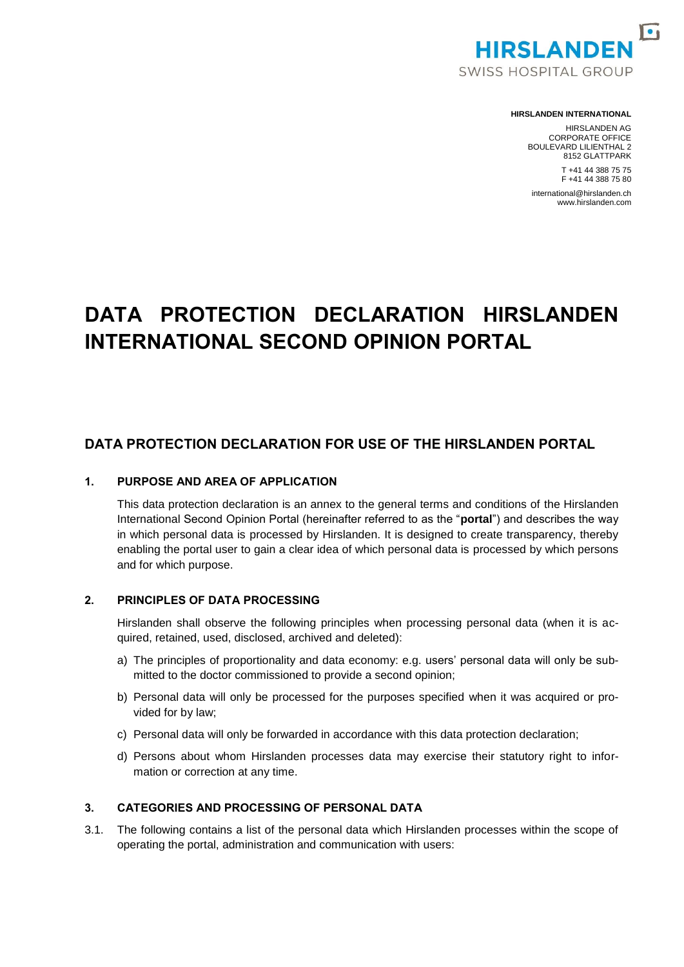

#### **HIRSLANDEN INTERNATIONAL**

HIRSLANDEN AG CORPORATE OFFICE BOULEVARD LILIENTHAL 2 8152 GLATTPARK T +41 44 388 75 75 F +41 44 388 75 80

international@hirslanden.ch www.hirslanden.com

# **DATA PROTECTION DECLARATION HIRSLANDEN INTERNATIONAL SECOND OPINION PORTAL**

# **DATA PROTECTION DECLARATION FOR USE OF THE HIRSLANDEN PORTAL**

### **1. PURPOSE AND AREA OF APPLICATION**

This data protection declaration is an annex to the general terms and conditions of the Hirslanden International Second Opinion Portal (hereinafter referred to as the "**portal**") and describes the way in which personal data is processed by Hirslanden. It is designed to create transparency, thereby enabling the portal user to gain a clear idea of which personal data is processed by which persons and for which purpose.

## **2. PRINCIPLES OF DATA PROCESSING**

Hirslanden shall observe the following principles when processing personal data (when it is acquired, retained, used, disclosed, archived and deleted):

- a) The principles of proportionality and data economy: e.g. users' personal data will only be submitted to the doctor commissioned to provide a second opinion;
- b) Personal data will only be processed for the purposes specified when it was acquired or provided for by law;
- c) Personal data will only be forwarded in accordance with this data protection declaration;
- d) Persons about whom Hirslanden processes data may exercise their statutory right to information or correction at any time.

#### **3. CATEGORIES AND PROCESSING OF PERSONAL DATA**

<span id="page-0-0"></span>3.1. The following contains a list of the personal data which Hirslanden processes within the scope of operating the portal, administration and communication with users: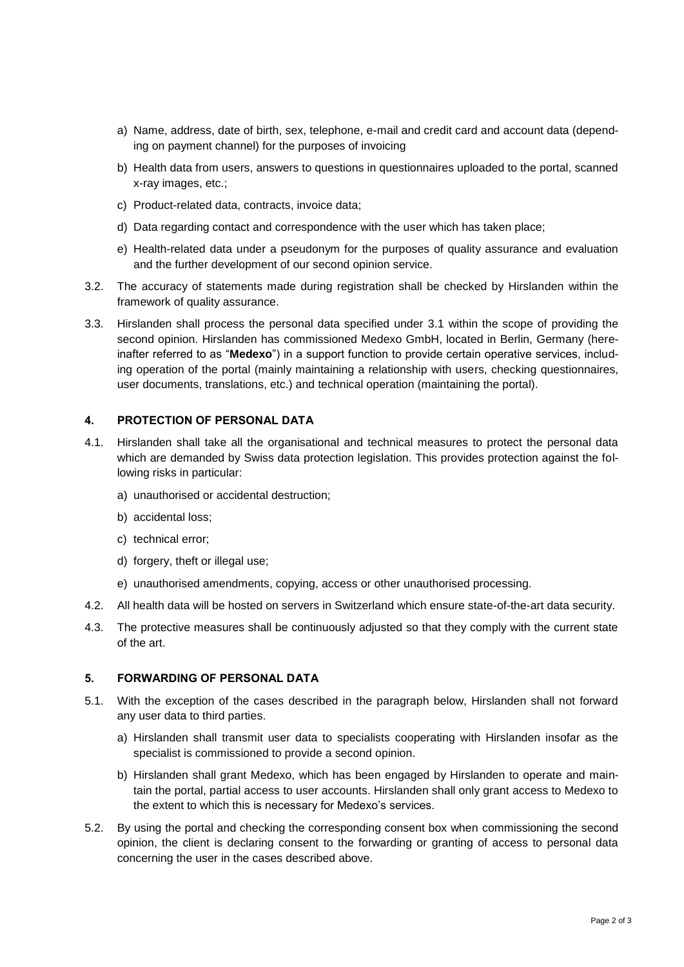- a) Name, address, date of birth, sex, telephone, e-mail and credit card and account data (depending on payment channel) for the purposes of invoicing
- b) Health data from users, answers to questions in questionnaires uploaded to the portal, scanned x-ray images, etc.;
- c) Product-related data, contracts, invoice data;
- d) Data regarding contact and correspondence with the user which has taken place;
- e) Health-related data under a pseudonym for the purposes of quality assurance and evaluation and the further development of our second opinion service.
- 3.2. The accuracy of statements made during registration shall be checked by Hirslanden within the framework of quality assurance.
- 3.3. Hirslanden shall process the personal data specified under [3.1](#page-0-0) within the scope of providing the second opinion. Hirslanden has commissioned Medexo GmbH, located in Berlin, Germany (hereinafter referred to as "**Medexo**") in a support function to provide certain operative services, including operation of the portal (mainly maintaining a relationship with users, checking questionnaires, user documents, translations, etc.) and technical operation (maintaining the portal).

## **4. PROTECTION OF PERSONAL DATA**

- 4.1. Hirslanden shall take all the organisational and technical measures to protect the personal data which are demanded by Swiss data protection legislation. This provides protection against the following risks in particular:
	- a) unauthorised or accidental destruction;
	- b) accidental loss;
	- c) technical error;
	- d) forgery, theft or illegal use;
	- e) unauthorised amendments, copying, access or other unauthorised processing.
- 4.2. All health data will be hosted on servers in Switzerland which ensure state-of-the-art data security.
- 4.3. The protective measures shall be continuously adjusted so that they comply with the current state of the art.

## **5. FORWARDING OF PERSONAL DATA**

- 5.1. With the exception of the cases described in the paragraph below, Hirslanden shall not forward any user data to third parties.
	- a) Hirslanden shall transmit user data to specialists cooperating with Hirslanden insofar as the specialist is commissioned to provide a second opinion.
	- b) Hirslanden shall grant Medexo, which has been engaged by Hirslanden to operate and maintain the portal, partial access to user accounts. Hirslanden shall only grant access to Medexo to the extent to which this is necessary for Medexo's services.
- 5.2. By using the portal and checking the corresponding consent box when commissioning the second opinion, the client is declaring consent to the forwarding or granting of access to personal data concerning the user in the cases described above.